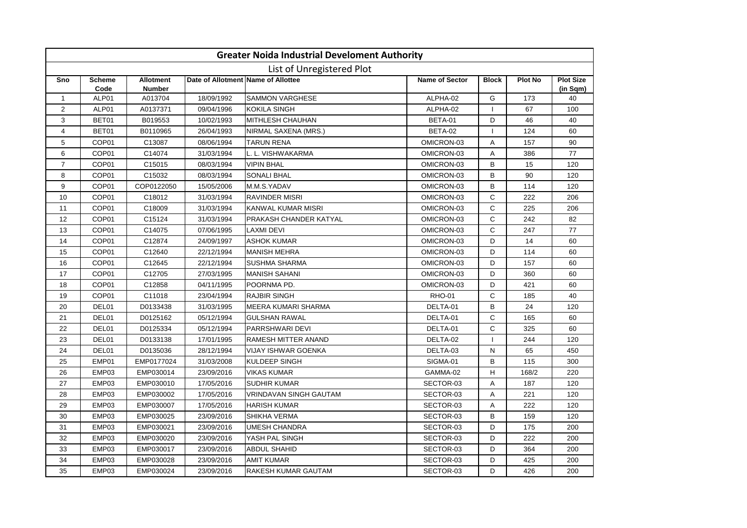|                |                       |                                   |            | <b>Greater Noida Industrial Develoment Authority</b> |                       |              |                |                              |
|----------------|-----------------------|-----------------------------------|------------|------------------------------------------------------|-----------------------|--------------|----------------|------------------------------|
|                |                       |                                   |            | List of Unregistered Plot                            |                       |              |                |                              |
| Sno            | <b>Scheme</b><br>Code | <b>Allotment</b><br><b>Number</b> |            | Date of Allotment Name of Allottee                   | <b>Name of Sector</b> | <b>Block</b> | <b>Plot No</b> | <b>Plot Size</b><br>(in Sqm) |
| $\mathbf{1}$   | ALP01                 | A013704                           | 18/09/1992 | <b>SAMMON VARGHESE</b>                               | ALPHA-02              | G            | 173            | 40                           |
| 2              | ALP01                 | A0137371                          | 09/04/1996 | <b>KOKILA SINGH</b>                                  | ALPHA-02              |              | 67             | 100                          |
| 3              | BET01                 | B019553                           | 10/02/1993 | <b>MITHLESH CHAUHAN</b>                              | BETA-01               | D            | 46             | 40                           |
| 4              | BET01                 | B0110965                          | 26/04/1993 | NIRMAL SAXENA (MRS.)                                 | BETA-02               | -1           | 124            | 60                           |
| 5              | COP01                 | C13087                            | 08/06/1994 | <b>TARUN RENA</b>                                    | OMICRON-03            | Α            | 157            | 90                           |
| 6              | COP01                 | C14074                            | 31/03/1994 | L. L. VISHWAKARMA                                    | OMICRON-03            | Α            | 386            | 77                           |
| $\overline{7}$ | COP01                 | C15015                            | 08/03/1994 | <b>VIPIN BHAL</b>                                    | OMICRON-03            | B            | 15             | 120                          |
| 8              | COP01                 | C15032                            | 08/03/1994 | <b>SONALI BHAL</b>                                   | OMICRON-03            | B            | 90             | 120                          |
| 9              | COP01                 | COP0122050                        | 15/05/2006 | M.M.S.YADAV                                          | OMICRON-03            | B            | 114            | 120                          |
| 10             | COP01                 | C18012                            | 31/03/1994 | <b>RAVINDER MISRI</b>                                | OMICRON-03            | C            | 222            | 206                          |
| 11             | COP01                 | C18009                            | 31/03/1994 | KANWAL KUMAR MISRI                                   | OMICRON-03            | $\mathsf{C}$ | 225            | 206                          |
| 12             | COP01                 | C15124                            | 31/03/1994 | PRAKASH CHANDER KATYAL                               | OMICRON-03            | $\mathsf{C}$ | 242            | 82                           |
| 13             | COP01                 | C14075                            | 07/06/1995 | <b>LAXMI DEVI</b>                                    | OMICRON-03            | $\mathsf{C}$ | 247            | 77                           |
| 14             | COP01                 | C12874                            | 24/09/1997 | <b>ASHOK KUMAR</b>                                   | OMICRON-03            | D            | 14             | 60                           |
| 15             | COP <sub>01</sub>     | C12640                            | 22/12/1994 | <b>MANISH MEHRA</b>                                  | OMICRON-03            | D            | 114            | 60                           |
| 16             | COP01                 | C12645                            | 22/12/1994 | <b>SUSHMA SHARMA</b>                                 | OMICRON-03            | D            | 157            | 60                           |
| 17             | COP <sub>01</sub>     | C12705                            | 27/03/1995 | <b>MANISH SAHANI</b>                                 | OMICRON-03            | D            | 360            | 60                           |
| 18             | COP01                 | C12858                            | 04/11/1995 | POORNMA PD.                                          | OMICRON-03            | D            | 421            | 60                           |
| 19             | COP01                 | C11018                            | 23/04/1994 | <b>RAJBIR SINGH</b>                                  | <b>RHO-01</b>         | C            | 185            | 40                           |
| 20             | DEL01                 | D0133438                          | 31/03/1995 | <b>MEERA KUMARI SHARMA</b>                           | DELTA-01              | B            | 24             | 120                          |
| 21             | DEL01                 | D0125162                          | 05/12/1994 | <b>GULSHAN RAWAL</b>                                 | DELTA-01              | $\mathsf{C}$ | 165            | 60                           |
| 22             | DEL01                 | D0125334                          | 05/12/1994 | PARRSHWARI DEVI                                      | DELTA-01              | $\mathsf{C}$ | 325            | 60                           |
| 23             | DEL01                 | D0133138                          | 17/01/1995 | <b>RAMESH MITTER ANAND</b>                           | DELTA-02              |              | 244            | 120                          |
| 24             | DEL01                 | D0135036                          | 28/12/1994 | <b>VIJAY ISHWAR GOENKA</b>                           | DELTA-03              | N            | 65             | 450                          |
| 25             | EMP01                 | EMP0177024                        | 31/03/2008 | <b>KULDEEP SINGH</b>                                 | SIGMA-01              | B            | 115            | 300                          |
| 26             | EMP03                 | EMP030014                         | 23/09/2016 | <b>VIKAS KUMAR</b>                                   | GAMMA-02              | H            | 168/2          | 220                          |
| 27             | EMP03                 | EMP030010                         | 17/05/2016 | <b>SUDHIR KUMAR</b>                                  | SECTOR-03             | A            | 187            | 120                          |
| 28             | EMP03                 | EMP030002                         | 17/05/2016 | <b>VRINDAVAN SINGH GAUTAM</b>                        | SECTOR-03             | Α            | 221            | 120                          |
| 29             | EMP03                 | EMP030007                         | 17/05/2016 | <b>HARISH KUMAR</b>                                  | SECTOR-03             | А            | 222            | 120                          |
| 30             | EMP03                 | EMP030025                         | 23/09/2016 | SHIKHA VERMA                                         | SECTOR-03             | B            | 159            | 120                          |
| 31             | EMP03                 | EMP030021                         | 23/09/2016 | <b>UMESH CHANDRA</b>                                 | SECTOR-03             | D            | 175            | 200                          |
| 32             | EMP03                 | EMP030020                         | 23/09/2016 | YASH PAL SINGH                                       | SECTOR-03             | D            | 222            | 200                          |
| 33             | EMP03                 | EMP030017                         | 23/09/2016 | <b>ABDUL SHAHID</b>                                  | SECTOR-03             | D            | 364            | 200                          |
| 34             | EMP03                 | EMP030028                         | 23/09/2016 | <b>AMIT KUMAR</b>                                    | SECTOR-03             | D            | 425            | 200                          |
| 35             | EMP03                 | EMP030024                         | 23/09/2016 | <b>RAKESH KUMAR GAUTAM</b>                           | SECTOR-03             | D            | 426            | 200                          |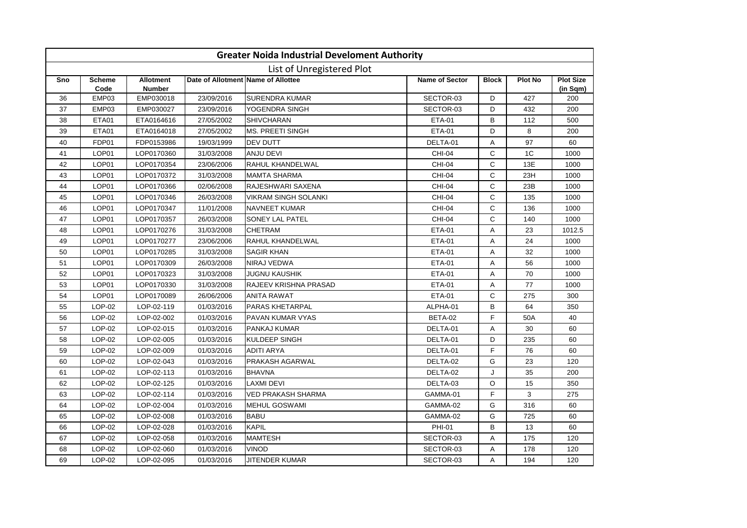|     |                       |                                   |                                    | <b>Greater Noida Industrial Develoment Authority</b> |                       |              |         |                              |
|-----|-----------------------|-----------------------------------|------------------------------------|------------------------------------------------------|-----------------------|--------------|---------|------------------------------|
|     |                       |                                   |                                    | List of Unregistered Plot                            |                       |              |         |                              |
| Sno | <b>Scheme</b><br>Code | <b>Allotment</b><br><b>Number</b> | Date of Allotment Name of Allottee |                                                      | <b>Name of Sector</b> | <b>Block</b> | Plot No | <b>Plot Size</b><br>(in Sqm) |
| 36  | EMP03                 | EMP030018                         | 23/09/2016                         | <b>SURENDRA KUMAR</b>                                | SECTOR-03             | D            | 427     | 200                          |
| 37  | EMP03                 | EMP030027                         | 23/09/2016                         | YOGENDRA SINGH                                       | SECTOR-03             | D            | 432     | 200                          |
| 38  | ETA01                 | ETA0164616                        | 27/05/2002                         | <b>SHIVCHARAN</b>                                    | <b>ETA-01</b>         | B            | 112     | 500                          |
| 39  | ETA01                 | ETA0164018                        | 27/05/2002                         | <b>MS. PREETI SINGH</b>                              | <b>ETA-01</b>         | D            | 8       | 200                          |
| 40  | FDP01                 | FDP0153986                        | 19/03/1999                         | <b>DEV DUTT</b>                                      | DELTA-01              | A            | 97      | 60                           |
| 41  | LOP01                 | LOP0170360                        | 31/03/2008                         | <b>ANJU DEVI</b>                                     | <b>CHI-04</b>         | $\mathsf{C}$ | 1C      | 1000                         |
| 42  | LOP01                 | LOP0170354                        | 23/06/2006                         | RAHUL KHANDELWAL                                     | <b>CHI-04</b>         | C            | 13E     | 1000                         |
| 43  | LOP01                 | LOP0170372                        | 31/03/2008                         | <b>MAMTA SHARMA</b>                                  | <b>CHI-04</b>         | C            | 23H     | 1000                         |
| 44  | LOP01                 | LOP0170366                        | 02/06/2008                         | RAJESHWARI SAXENA                                    | <b>CHI-04</b>         | $\mathsf{C}$ | 23B     | 1000                         |
| 45  | LOP01                 | LOP0170346                        | 26/03/2008                         | <b>VIKRAM SINGH SOLANKI</b>                          | <b>CHI-04</b>         | $\mathsf{C}$ | 135     | 1000                         |
| 46  | LOP01                 | LOP0170347                        | 11/01/2008                         | <b>NAVNEET KUMAR</b>                                 | <b>CHI-04</b>         | C            | 136     | 1000                         |
| 47  | LOP01                 | LOP0170357                        | 26/03/2008                         | SONEY LAL PATEL                                      | <b>CHI-04</b>         | C            | 140     | 1000                         |
| 48  | LOP01                 | LOP0170276                        | 31/03/2008                         | <b>CHETRAM</b>                                       | <b>ETA-01</b>         | Α            | 23      | 1012.5                       |
| 49  | LOP01                 | LOP0170277                        | 23/06/2006                         | RAHUL KHANDELWAL                                     | <b>ETA-01</b>         | Α            | 24      | 1000                         |
| 50  | LOP01                 | LOP0170285                        | 31/03/2008                         | <b>SAGIR KHAN</b>                                    | <b>ETA-01</b>         | Α            | 32      | 1000                         |
| 51  | LOP01                 | LOP0170309                        | 26/03/2008                         | NIRAJ VEDWA                                          | <b>ETA-01</b>         | Α            | 56      | 1000                         |
| 52  | LOP01                 | LOP0170323                        | 31/03/2008                         | <b>JUGNU KAUSHIK</b>                                 | <b>ETA-01</b>         | Α            | 70      | 1000                         |
| 53  | LOP01                 | LOP0170330                        | 31/03/2008                         | <b>RAJEEV KRISHNA PRASAD</b>                         | <b>ETA-01</b>         | Α            | 77      | 1000                         |
| 54  | LOP01                 | LOP0170089                        | 26/06/2006                         | <b>ANITA RAWAT</b>                                   | <b>ETA-01</b>         | C            | 275     | 300                          |
| 55  | LOP-02                | LOP-02-119                        | 01/03/2016                         | PARAS KHETARPAL                                      | ALPHA-01              | B            | 64      | 350                          |
| 56  | LOP-02                | LOP-02-002                        | 01/03/2016                         | PAVAN KUMAR VYAS                                     | BETA-02               | F            | 50A     | 40                           |
| 57  | LOP-02                | LOP-02-015                        | 01/03/2016                         | PANKAJ KUMAR                                         | DELTA-01              | Α            | 30      | 60                           |
| 58  | LOP-02                | LOP-02-005                        | 01/03/2016                         | KULDEEP SINGH                                        | DELTA-01              | D            | 235     | 60                           |
| 59  | LOP-02                | LOP-02-009                        | 01/03/2016                         | <b>ADITI ARYA</b>                                    | DELTA-01              | F.           | 76      | 60                           |
| 60  | LOP-02                | LOP-02-043                        | 01/03/2016                         | PRAKASH AGARWAL                                      | DELTA-02              | G            | 23      | 120                          |
| 61  | LOP-02                | LOP-02-113                        | 01/03/2016                         | <b>BHAVNA</b>                                        | DELTA-02              | J            | 35      | 200                          |
| 62  | LOP-02                | LOP-02-125                        | 01/03/2016                         | <b>LAXMI DEVI</b>                                    | DELTA-03              | O            | 15      | 350                          |
| 63  | LOP-02                | LOP-02-114                        | 01/03/2016                         | <b>VED PRAKASH SHARMA</b>                            | GAMMA-01              | F.           | 3       | 275                          |
| 64  | LOP-02                | LOP-02-004                        | 01/03/2016                         | <b>MEHUL GOSWAMI</b>                                 | GAMMA-02              | G            | 316     | 60                           |
| 65  | LOP-02                | LOP-02-008                        | 01/03/2016                         | <b>BABU</b>                                          | GAMMA-02              | G            | 725     | 60                           |
| 66  | LOP-02                | LOP-02-028                        | 01/03/2016                         | <b>KAPIL</b>                                         | <b>PHI-01</b>         | B            | 13      | 60                           |
| 67  | LOP-02                | LOP-02-058                        | 01/03/2016                         | <b>MAMTESH</b>                                       | SECTOR-03             | A            | 175     | 120                          |
| 68  | LOP-02                | LOP-02-060                        | 01/03/2016                         | <b>VINOD</b>                                         | SECTOR-03             | Α            | 178     | 120                          |
| 69  | $LOP-02$              | LOP-02-095                        | 01/03/2016                         | <b>JITENDER KUMAR</b>                                | SECTOR-03             | A            | 194     | 120                          |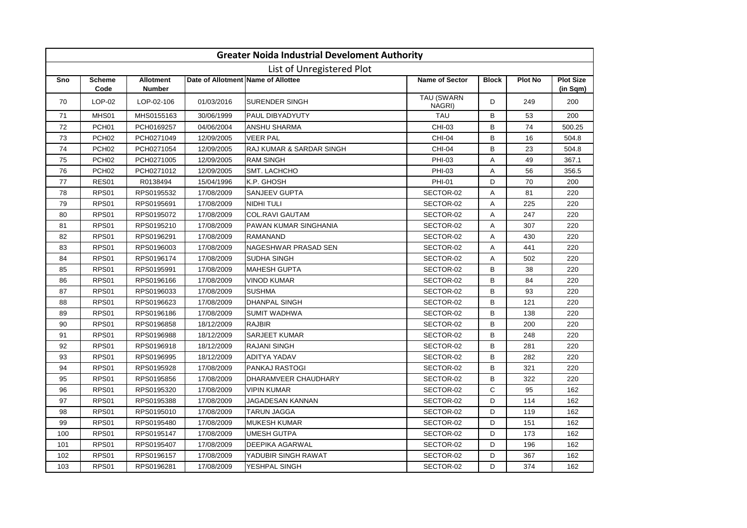|     |                       |                                   |                                    | <b>Greater Noida Industrial Develoment Authority</b> |                             |              |                |                                   |
|-----|-----------------------|-----------------------------------|------------------------------------|------------------------------------------------------|-----------------------------|--------------|----------------|-----------------------------------|
|     |                       |                                   |                                    | List of Unregistered Plot                            |                             |              |                |                                   |
| Sno | <b>Scheme</b><br>Code | <b>Allotment</b><br><b>Number</b> | Date of Allotment Name of Allottee |                                                      | <b>Name of Sector</b>       | <b>Block</b> | <b>Plot No</b> | <b>Plot Size</b><br>$(in$ Sqm $)$ |
| 70  | $LOP-02$              | LOP-02-106                        | 01/03/2016                         | <b>SURENDER SINGH</b>                                | <b>TAU (SWARN</b><br>NAGRI) | D            | 249            | 200                               |
| 71  | MHS01                 | MHS0155163                        | 30/06/1999                         | PAUL DIBYADYUTY                                      | <b>TAU</b>                  | B            | 53             | 200                               |
| 72  | PCH <sub>01</sub>     | PCH0169257                        | 04/06/2004                         | <b>ANSHU SHARMA</b>                                  | CHI-03                      | B            | 74             | 500.25                            |
| 73  | PCH <sub>02</sub>     | PCH0271049                        | 12/09/2005                         | <b>VEER PAL</b>                                      | <b>CHI-04</b>               | B            | 16             | 504.8                             |
| 74  | PCH <sub>02</sub>     | PCH0271054                        | 12/09/2005                         | RAJ KUMAR & SARDAR SINGH                             | <b>CHI-04</b>               | B            | 23             | 504.8                             |
| 75  | PCH <sub>02</sub>     | PCH0271005                        | 12/09/2005                         | <b>RAM SINGH</b>                                     | PHI-03                      | Α            | 49             | 367.1                             |
| 76  | PCH <sub>02</sub>     | PCH0271012                        | 12/09/2005                         | SMT. LACHCHO                                         | PHI-03                      | A            | 56             | 356.5                             |
| 77  | RES01                 | R0138494                          | 15/04/1996                         | K.P. GHOSH                                           | <b>PHI-01</b>               | D            | 70             | 200                               |
| 78  | RPS01                 | RPS0195532                        | 17/08/2009                         | <b>SANJEEV GUPTA</b>                                 | SECTOR-02                   | A            | 81             | 220                               |
| 79  | RPS01                 | RPS0195691                        | 17/08/2009                         | <b>NIDHI TULI</b>                                    | SECTOR-02                   | Α            | 225            | 220                               |
| 80  | RPS01                 | RPS0195072                        | 17/08/2009                         | <b>COL.RAVI GAUTAM</b>                               | SECTOR-02                   | Α            | 247            | 220                               |
| 81  | RPS01                 | RPS0195210                        | 17/08/2009                         | PAWAN KUMAR SINGHANIA                                | SECTOR-02                   | Α            | 307            | 220                               |
| 82  | RPS01                 | RPS0196291                        | 17/08/2009                         | <b>RAMANAND</b>                                      | SECTOR-02                   | A            | 430            | 220                               |
| 83  | RPS01                 | RPS0196003                        | 17/08/2009                         | <b>NAGESHWAR PRASAD SEN</b>                          | SECTOR-02                   | A            | 441            | 220                               |
| 84  | RPS01                 | RPS0196174                        | 17/08/2009                         | SUDHA SINGH                                          | SECTOR-02                   | A            | 502            | 220                               |
| 85  | RPS01                 | RPS0195991                        | 17/08/2009                         | <b>MAHESH GUPTA</b>                                  | SECTOR-02                   | B            | 38             | 220                               |
| 86  | RPS01                 | RPS0196166                        | 17/08/2009                         | VINOD KUMAR                                          | SECTOR-02                   | B            | 84             | 220                               |
| 87  | RPS01                 | RPS0196033                        | 17/08/2009                         | <b>SUSHMA</b>                                        | SECTOR-02                   | B            | 93             | 220                               |
| 88  | RPS01                 | RPS0196623                        | 17/08/2009                         | <b>DHANPAL SINGH</b>                                 | SECTOR-02                   | B            | 121            | 220                               |
| 89  | RPS01                 | RPS0196186                        | 17/08/2009                         | <b>SUMIT WADHWA</b>                                  | SECTOR-02                   | B            | 138            | 220                               |
| 90  | RPS01                 | RPS0196858                        | 18/12/2009                         | <b>RAJBIR</b>                                        | SECTOR-02                   | B            | 200            | 220                               |
| 91  | RPS01                 | RPS0196988                        | 18/12/2009                         | <b>SARJEET KUMAR</b>                                 | SECTOR-02                   | B            | 248            | 220                               |
| 92  | RPS01                 | RPS0196918                        | 18/12/2009                         | <b>RAJANI SINGH</b>                                  | SECTOR-02                   | B            | 281            | 220                               |
| 93  | RPS01                 | RPS0196995                        | 18/12/2009                         | ADITYA YADAV                                         | SECTOR-02                   | B            | 282            | 220                               |
| 94  | RPS01                 | RPS0195928                        | 17/08/2009                         | <b>PANKAJ RASTOGI</b>                                | SECTOR-02                   | B            | 321            | 220                               |
| 95  | RPS01                 | RPS0195856                        | 17/08/2009                         | DHARAMVEER CHAUDHARY                                 | SECTOR-02                   | B            | 322            | 220                               |
| 96  | RPS01                 | RPS0195320                        | 17/08/2009                         | <b>VIPIN KUMAR</b>                                   | SECTOR-02                   | $\mathsf{C}$ | 95             | 162                               |
| 97  | RPS01                 | RPS0195388                        | 17/08/2009                         | JAGADESAN KANNAN                                     | SECTOR-02                   | D            | 114            | 162                               |
| 98  | RPS01                 | RPS0195010                        | 17/08/2009                         | <b>TARUN JAGGA</b>                                   | SECTOR-02                   | D            | 119            | 162                               |
| 99  | RPS01                 | RPS0195480                        | 17/08/2009                         | <b>MUKESH KUMAR</b>                                  | SECTOR-02                   | D            | 151            | 162                               |
| 100 | RPS01                 | RPS0195147                        | 17/08/2009                         | <b>UMESH GUTPA</b>                                   | SECTOR-02                   | D            | 173            | 162                               |
| 101 | RPS01                 | RPS0195407                        | 17/08/2009                         | <b>DEEPIKA AGARWAL</b>                               | SECTOR-02                   | D            | 196            | 162                               |
| 102 | RPS01                 | RPS0196157                        | 17/08/2009                         | YADUBIR SINGH RAWAT                                  | SECTOR-02                   | D            | 367            | 162                               |
| 103 | RPS01                 | RPS0196281                        | 17/08/2009                         | YESHPAL SINGH                                        | SECTOR-02                   | D            | 374            | 162                               |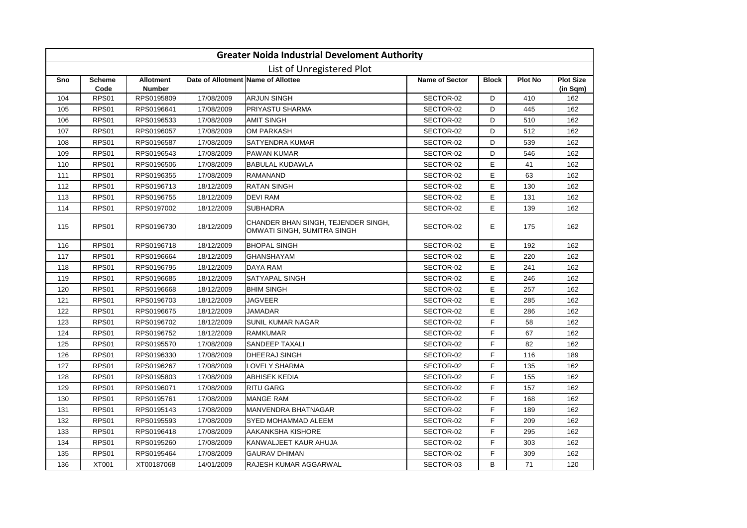|     |                       |                                   |            | <b>Greater Noida Industrial Develoment Authority</b>               |                       |              |                |                              |
|-----|-----------------------|-----------------------------------|------------|--------------------------------------------------------------------|-----------------------|--------------|----------------|------------------------------|
|     |                       |                                   |            | List of Unregistered Plot                                          |                       |              |                |                              |
| Sno | <b>Scheme</b><br>Code | <b>Allotment</b><br><b>Number</b> |            | Date of Allotment Name of Allottee                                 | <b>Name of Sector</b> | <b>Block</b> | <b>Plot No</b> | <b>Plot Size</b><br>(in Sqm) |
| 104 | RPS01                 | RPS0195809                        | 17/08/2009 | <b>ARJUN SINGH</b>                                                 | SECTOR-02             | D            | 410            | 162                          |
| 105 | RPS01                 | RPS0196641                        | 17/08/2009 | <b>PRIYASTU SHARMA</b>                                             | SECTOR-02             | D            | 445            | 162                          |
| 106 | RPS01                 | RPS0196533                        | 17/08/2009 | <b>AMIT SINGH</b>                                                  | SECTOR-02             | D            | 510            | 162                          |
| 107 | RPS01                 | RPS0196057                        | 17/08/2009 | <b>OM PARKASH</b>                                                  | SECTOR-02             | D            | 512            | 162                          |
| 108 | RPS01                 | RPS0196587                        | 17/08/2009 | <b>SATYENDRA KUMAR</b>                                             | SECTOR-02             | D            | 539            | 162                          |
| 109 | RPS01                 | RPS0196543                        | 17/08/2009 | <b>PAWAN KUMAR</b>                                                 | SECTOR-02             | D            | 546            | 162                          |
| 110 | RPS01                 | RPS0196506                        | 17/08/2009 | <b>BABULAL KUDAWLA</b>                                             | SECTOR-02             | E            | 41             | 162                          |
| 111 | RPS01                 | RPS0196355                        | 17/08/2009 | <b>RAMANAND</b>                                                    | SECTOR-02             | E            | 63             | 162                          |
| 112 | RPS01                 | RPS0196713                        | 18/12/2009 | <b>RATAN SINGH</b>                                                 | SECTOR-02             | E            | 130            | 162                          |
| 113 | RPS01                 | RPS0196755                        | 18/12/2009 | <b>DEVI RAM</b>                                                    | SECTOR-02             | E            | 131            | 162                          |
| 114 | RPS01                 | RPS0197002                        | 18/12/2009 | <b>SUBHADRA</b>                                                    | SECTOR-02             | E            | 139            | 162                          |
| 115 | RPS01                 | RPS0196730                        | 18/12/2009 | CHANDER BHAN SINGH, TEJENDER SINGH,<br>OMWATI SINGH, SUMITRA SINGH | SECTOR-02             | E            | 175            | 162                          |
| 116 | RPS01                 | RPS0196718                        | 18/12/2009 | <b>BHOPAL SINGH</b>                                                | SECTOR-02             | Е            | 192            | 162                          |
| 117 | RPS01                 | RPS0196664                        | 18/12/2009 | <b>GHANSHAYAM</b>                                                  | SECTOR-02             | E            | 220            | 162                          |
| 118 | RPS01                 | RPS0196795                        | 18/12/2009 | <b>DAYA RAM</b>                                                    | SECTOR-02             | E            | 241            | 162                          |
| 119 | RPS01                 | RPS0196685                        | 18/12/2009 | <b>SATYAPAL SINGH</b>                                              | SECTOR-02             | E            | 246            | 162                          |
| 120 | RPS01                 | RPS0196668                        | 18/12/2009 | <b>BHIM SINGH</b>                                                  | SECTOR-02             | E            | 257            | 162                          |
| 121 | RPS01                 | RPS0196703                        | 18/12/2009 | <b>JAGVEER</b>                                                     | SECTOR-02             | E            | 285            | 162                          |
| 122 | RPS01                 | RPS0196675                        | 18/12/2009 | <b>JAMADAR</b>                                                     | SECTOR-02             | E            | 286            | 162                          |
| 123 | RPS01                 | RPS0196702                        | 18/12/2009 | <b>SUNIL KUMAR NAGAR</b>                                           | SECTOR-02             | F            | 58             | 162                          |
| 124 | RPS01                 | RPS0196752                        | 18/12/2009 | <b>RAMKUMAR</b>                                                    | SECTOR-02             | F            | 67             | 162                          |
| 125 | RPS01                 | RPS0195570                        | 17/08/2009 | <b>SANDEEP TAXALI</b>                                              | SECTOR-02             | F            | 82             | 162                          |
| 126 | RPS01                 | RPS0196330                        | 17/08/2009 | <b>DHEERAJ SINGH</b>                                               | SECTOR-02             | F            | 116            | 189                          |
| 127 | RPS01                 | RPS0196267                        | 17/08/2009 | <b>LOVELY SHARMA</b>                                               | SECTOR-02             | F            | 135            | 162                          |
| 128 | RPS01                 | RPS0195803                        | 17/08/2009 | <b>ABHISEK KEDIA</b>                                               | SECTOR-02             | E            | 155            | 162                          |
| 129 | RPS01                 | RPS0196071                        | 17/08/2009 | <b>RITU GARG</b>                                                   | SECTOR-02             | E            | 157            | 162                          |
| 130 | RPS01                 | RPS0195761                        | 17/08/2009 | <b>MANGE RAM</b>                                                   | SECTOR-02             | F            | 168            | 162                          |
| 131 | RPS01                 | RPS0195143                        | 17/08/2009 | <b>MANVENDRA BHATNAGAR</b>                                         | SECTOR-02             | F            | 189            | 162                          |
| 132 | RPS01                 | RPS0195593                        | 17/08/2009 | SYED MOHAMMAD ALEEM                                                | SECTOR-02             | F            | 209            | 162                          |
| 133 | RPS01                 | RPS0196418                        | 17/08/2009 | <b>AAKANKSHA KISHORE</b>                                           | SECTOR-02             | F            | 295            | 162                          |
| 134 | RPS01                 | RPS0195260                        | 17/08/2009 | KANWALJEET KAUR AHUJA                                              | SECTOR-02             | F            | 303            | 162                          |
| 135 | RPS01                 | RPS0195464                        | 17/08/2009 | <b>GAURAV DHIMAN</b>                                               | SECTOR-02             | F            | 309            | 162                          |
| 136 | <b>XT001</b>          | XT00187068                        | 14/01/2009 | RAJESH KUMAR AGGARWAL                                              | SECTOR-03             | B            | 71             | 120                          |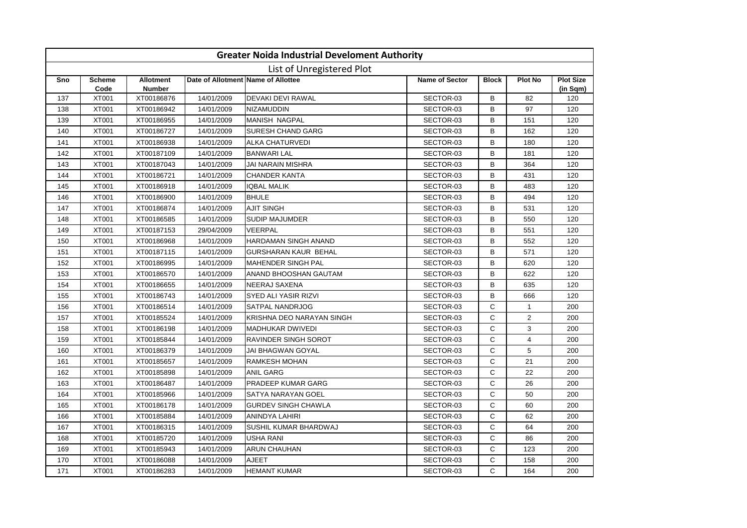|     |                       |                                   |            | <b>Greater Noida Industrial Develoment Authority</b> |                       |              |                         |                              |
|-----|-----------------------|-----------------------------------|------------|------------------------------------------------------|-----------------------|--------------|-------------------------|------------------------------|
|     |                       |                                   |            | List of Unregistered Plot                            |                       |              |                         |                              |
| Sno | <b>Scheme</b><br>Code | <b>Allotment</b><br><b>Number</b> |            | Date of Allotment Name of Allottee                   | <b>Name of Sector</b> | <b>Block</b> | <b>Plot No</b>          | <b>Plot Size</b><br>(in Sqm) |
| 137 | <b>XT001</b>          | XT00186876                        | 14/01/2009 | <b>DEVAKI DEVI RAWAL</b>                             | SECTOR-03             | В            | 82                      | 120                          |
| 138 | <b>XT001</b>          | XT00186942                        | 14/01/2009 | <b>NIZAMUDDIN</b>                                    | SECTOR-03             | B            | 97                      | 120                          |
| 139 | <b>XT001</b>          | XT00186955                        | 14/01/2009 | <b>MANISH NAGPAL</b>                                 | SECTOR-03             | B            | 151                     | 120                          |
| 140 | <b>XT001</b>          | XT00186727                        | 14/01/2009 | <b>SURESH CHAND GARG</b>                             | SECTOR-03             | B            | 162                     | 120                          |
| 141 | <b>XT001</b>          | XT00186938                        | 14/01/2009 | <b>ALKA CHATURVEDI</b>                               | SECTOR-03             | B            | 180                     | 120                          |
| 142 | <b>XT001</b>          | XT00187109                        | 14/01/2009 | <b>BANWARI LAL</b>                                   | SECTOR-03             | B            | 181                     | 120                          |
| 143 | <b>XT001</b>          | XT00187043                        | 14/01/2009 | <b>JAI NARAIN MISHRA</b>                             | SECTOR-03             | B            | 364                     | 120                          |
| 144 | XT001                 | XT00186721                        | 14/01/2009 | <b>CHANDER KANTA</b>                                 | SECTOR-03             | B            | 431                     | 120                          |
| 145 | <b>XT001</b>          | XT00186918                        | 14/01/2009 | <b>IQBAL MALIK</b>                                   | SECTOR-03             | B            | 483                     | 120                          |
| 146 | <b>XT001</b>          | XT00186900                        | 14/01/2009 | <b>BHULE</b>                                         | SECTOR-03             | B            | 494                     | 120                          |
| 147 | <b>XT001</b>          | XT00186874                        | 14/01/2009 | <b>AJIT SINGH</b>                                    | SECTOR-03             | B            | 531                     | 120                          |
| 148 | <b>XT001</b>          | XT00186585                        | 14/01/2009 | <b>SUDIP MAJUMDER</b>                                | SECTOR-03             | B            | 550                     | 120                          |
| 149 | <b>XT001</b>          | XT00187153                        | 29/04/2009 | VEERPAL                                              | SECTOR-03             | B            | 551                     | 120                          |
| 150 | <b>XT001</b>          | XT00186968                        | 14/01/2009 | <b>HARDAMAN SINGH ANAND</b>                          | SECTOR-03             | B            | 552                     | 120                          |
| 151 | <b>XT001</b>          | XT00187115                        | 14/01/2009 | <b>GURSHARAN KAUR BEHAL</b>                          | SECTOR-03             | B            | 571                     | 120                          |
| 152 | <b>XT001</b>          | XT00186995                        | 14/01/2009 | <b>MAHENDER SINGH PAL</b>                            | SECTOR-03             | B            | 620                     | 120                          |
| 153 | <b>XT001</b>          | XT00186570                        | 14/01/2009 | ANAND BHOOSHAN GAUTAM                                | SECTOR-03             | B            | 622                     | 120                          |
| 154 | <b>XT001</b>          | XT00186655                        | 14/01/2009 | <b>NEERAJ SAXENA</b>                                 | SECTOR-03             | B            | 635                     | 120                          |
| 155 | <b>XT001</b>          | XT00186743                        | 14/01/2009 | SYED ALI YASIR RIZVI                                 | SECTOR-03             | B            | 666                     | 120                          |
| 156 | <b>XT001</b>          | XT00186514                        | 14/01/2009 | SATPAL NANDRJOG                                      | SECTOR-03             | $\mathsf{C}$ | $\mathbf{1}$            | 200                          |
| 157 | <b>XT001</b>          | XT00185524                        | 14/01/2009 | KRISHNA DEO NARAYAN SINGH                            | SECTOR-03             | $\mathsf{C}$ | $\overline{2}$          | 200                          |
| 158 | <b>XT001</b>          | XT00186198                        | 14/01/2009 | <b>MADHUKAR DWIVEDI</b>                              | SECTOR-03             | $\mathsf C$  | 3                       | 200                          |
| 159 | <b>XT001</b>          | XT00185844                        | 14/01/2009 | <b>RAVINDER SINGH SOROT</b>                          | SECTOR-03             | $\mathsf{C}$ | $\overline{\mathbf{4}}$ | 200                          |
| 160 | <b>XT001</b>          | XT00186379                        | 14/01/2009 | JAI BHAGWAN GOYAL                                    | SECTOR-03             | $\mathsf{C}$ | 5                       | 200                          |
| 161 | <b>XT001</b>          | XT00185657                        | 14/01/2009 | <b>RAMKESH MOHAN</b>                                 | SECTOR-03             | $\mathsf C$  | 21                      | 200                          |
| 162 | <b>XT001</b>          | XT00185898                        | 14/01/2009 | <b>ANIL GARG</b>                                     | SECTOR-03             | C            | 22                      | 200                          |
| 163 | <b>XT001</b>          | XT00186487                        | 14/01/2009 | PRADEEP KUMAR GARG                                   | SECTOR-03             | $\mathsf C$  | 26                      | 200                          |
| 164 | <b>XT001</b>          | XT00185966                        | 14/01/2009 | SATYA NARAYAN GOEL                                   | SECTOR-03             | C            | 50                      | 200                          |
| 165 | <b>XT001</b>          | XT00186178                        | 14/01/2009 | <b>GURDEV SINGH CHAWLA</b>                           | SECTOR-03             | $\mathsf{C}$ | 60                      | 200                          |
| 166 | <b>XT001</b>          | XT00185884                        | 14/01/2009 | ANINDYA LAHIRI                                       | SECTOR-03             | $\mathsf{C}$ | 62                      | 200                          |
| 167 | <b>XT001</b>          | XT00186315                        | 14/01/2009 | SUSHIL KUMAR BHARDWAJ                                | SECTOR-03             | $\mathsf{C}$ | 64                      | 200                          |
| 168 | <b>XT001</b>          | XT00185720                        | 14/01/2009 | <b>USHA RANI</b>                                     | SECTOR-03             | $\mathsf{C}$ | 86                      | 200                          |
| 169 | <b>XT001</b>          | XT00185943                        | 14/01/2009 | <b>ARUN CHAUHAN</b>                                  | SECTOR-03             | $\mathsf{C}$ | 123                     | 200                          |
| 170 | <b>XT001</b>          | XT00186088                        | 14/01/2009 | AJEET                                                | SECTOR-03             | C            | 158                     | 200                          |
| 171 | <b>XT001</b>          | XT00186283                        | 14/01/2009 | <b>HEMANT KUMAR</b>                                  | SECTOR-03             | C.           | 164                     | 200                          |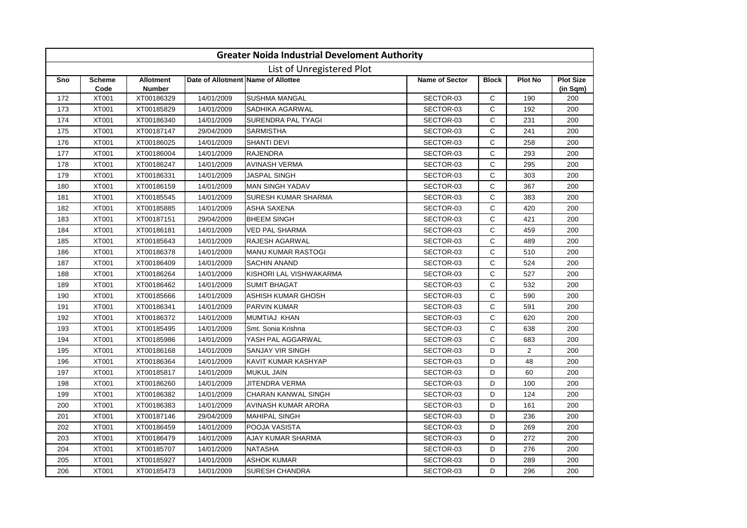|     |                           |                                   |            | <b>Greater Noida Industrial Develoment Authority</b> |                       |              |                |                              |  |  |  |
|-----|---------------------------|-----------------------------------|------------|------------------------------------------------------|-----------------------|--------------|----------------|------------------------------|--|--|--|
|     | List of Unregistered Plot |                                   |            |                                                      |                       |              |                |                              |  |  |  |
| Sno | <b>Scheme</b><br>Code     | <b>Allotment</b><br><b>Number</b> |            | Date of Allotment Name of Allottee                   | <b>Name of Sector</b> | <b>Block</b> | <b>Plot No</b> | <b>Plot Size</b><br>(in Sqm) |  |  |  |
| 172 | <b>XT001</b>              | XT00186329                        | 14/01/2009 | <b>SUSHMA MANGAL</b>                                 | SECTOR-03             | C            | 190            | 200                          |  |  |  |
| 173 | <b>XT001</b>              | XT00185829                        | 14/01/2009 | SADHIKA AGARWAL                                      | SECTOR-03             | C            | 192            | 200                          |  |  |  |
| 174 | <b>XT001</b>              | XT00186340                        | 14/01/2009 | SURENDRA PAL TYAGI                                   | SECTOR-03             | $\mathsf{C}$ | 231            | 200                          |  |  |  |
| 175 | <b>XT001</b>              | XT00187147                        | 29/04/2009 | <b>SARMISTHA</b>                                     | SECTOR-03             | $\mathsf{C}$ | 241            | 200                          |  |  |  |
| 176 | <b>XT001</b>              | XT00186025                        | 14/01/2009 | <b>SHANTI DEVI</b>                                   | SECTOR-03             | $\mathsf{C}$ | 258            | 200                          |  |  |  |
| 177 | <b>XT001</b>              | XT00186004                        | 14/01/2009 | <b>RAJENDRA</b>                                      | SECTOR-03             | $\mathsf C$  | 293            | 200                          |  |  |  |
| 178 | <b>XT001</b>              | XT00186247                        | 14/01/2009 | <b>AVINASH VERMA</b>                                 | SECTOR-03             | $\mathsf{C}$ | 295            | 200                          |  |  |  |
| 179 | <b>XT001</b>              | XT00186331                        | 14/01/2009 | <b>JASPAL SINGH</b>                                  | SECTOR-03             | $\mathsf C$  | 303            | 200                          |  |  |  |
| 180 | <b>XT001</b>              | XT00186159                        | 14/01/2009 | <b>MAN SINGH YADAV</b>                               | SECTOR-03             | C            | 367            | 200                          |  |  |  |
| 181 | <b>XT001</b>              | XT00185545                        | 14/01/2009 | SURESH KUMAR SHARMA                                  | SECTOR-03             | C            | 383            | 200                          |  |  |  |
| 182 | <b>XT001</b>              | XT00185885                        | 14/01/2009 | ASHA SAXENA                                          | SECTOR-03             | $\mathsf C$  | 420            | 200                          |  |  |  |
| 183 | <b>XT001</b>              | XT00187151                        | 29/04/2009 | <b>BHEEM SINGH</b>                                   | SECTOR-03             | $\mathsf{C}$ | 421            | 200                          |  |  |  |
| 184 | <b>XT001</b>              | XT00186181                        | 14/01/2009 | <b>VED PAL SHARMA</b>                                | SECTOR-03             | $\mathsf{C}$ | 459            | 200                          |  |  |  |
| 185 | <b>XT001</b>              | XT00185643                        | 14/01/2009 | <b>RAJESH AGARWAL</b>                                | SECTOR-03             | C            | 489            | 200                          |  |  |  |
| 186 | <b>XT001</b>              | XT00186378                        | 14/01/2009 | <b>MANU KUMAR RASTOGI</b>                            | SECTOR-03             | $\mathsf{C}$ | 510            | 200                          |  |  |  |
| 187 | <b>XT001</b>              | XT00186409                        | 14/01/2009 | <b>SACHIN ANAND</b>                                  | SECTOR-03             | C            | 524            | 200                          |  |  |  |
| 188 | <b>XT001</b>              | XT00186264                        | 14/01/2009 | KISHORI LAL VISHWAKARMA                              | SECTOR-03             | C            | 527            | 200                          |  |  |  |
| 189 | <b>XT001</b>              | XT00186462                        | 14/01/2009 | <b>SUMIT BHAGAT</b>                                  | SECTOR-03             | C            | 532            | 200                          |  |  |  |
| 190 | <b>XT001</b>              | XT00185666                        | 14/01/2009 | ASHISH KUMAR GHOSH                                   | SECTOR-03             | C            | 590            | 200                          |  |  |  |
| 191 | <b>XT001</b>              | XT00186341                        | 14/01/2009 | <b>PARVIN KUMAR</b>                                  | SECTOR-03             | $\mathsf{C}$ | 591            | 200                          |  |  |  |
| 192 | <b>XT001</b>              | XT00186372                        | 14/01/2009 | MUMTIAJ KHAN                                         | SECTOR-03             | $\mathsf{C}$ | 620            | 200                          |  |  |  |
| 193 | <b>XT001</b>              | XT00185495                        | 14/01/2009 | Smt. Sonia Krishna                                   | SECTOR-03             | $\mathsf{C}$ | 638            | 200                          |  |  |  |
| 194 | <b>XT001</b>              | XT00185986                        | 14/01/2009 | YASH PAL AGGARWAL                                    | SECTOR-03             | $\mathsf C$  | 683            | 200                          |  |  |  |
| 195 | <b>XT001</b>              | XT00186168                        | 14/01/2009 | <b>SANJAY VIR SINGH</b>                              | SECTOR-03             | D            | $\overline{2}$ | 200                          |  |  |  |
| 196 | <b>XT001</b>              | XT00186364                        | 14/01/2009 | KAVIT KUMAR KASHYAP                                  | SECTOR-03             | D            | 48             | 200                          |  |  |  |
| 197 | <b>XT001</b>              | XT00185817                        | 14/01/2009 | <b>MUKUL JAIN</b>                                    | SECTOR-03             | D            | 60             | 200                          |  |  |  |
| 198 | <b>XT001</b>              | XT00186260                        | 14/01/2009 | JITENDRA VERMA                                       | SECTOR-03             | D            | 100            | 200                          |  |  |  |
| 199 | <b>XT001</b>              | XT00186382                        | 14/01/2009 | <b>CHARAN KANWAL SINGH</b>                           | SECTOR-03             | D            | 124            | 200                          |  |  |  |
| 200 | <b>XT001</b>              | XT00186383                        | 14/01/2009 | AVINASH KUMAR ARORA                                  | SECTOR-03             | D            | 161            | 200                          |  |  |  |
| 201 | XT001                     | XT00187146                        | 29/04/2009 | <b>MAHIPAL SINGH</b>                                 | SECTOR-03             | D            | 236            | 200                          |  |  |  |
| 202 | <b>XT001</b>              | XT00186459                        | 14/01/2009 | POOJA VASISTA                                        | SECTOR-03             | D            | 269            | 200                          |  |  |  |
| 203 | XT001                     | XT00186479                        | 14/01/2009 | AJAY KUMAR SHARMA                                    | SECTOR-03             | D            | 272            | 200                          |  |  |  |
| 204 | <b>XT001</b>              | XT00185707                        | 14/01/2009 | <b>NATASHA</b>                                       | SECTOR-03             | D            | 276            | 200                          |  |  |  |
| 205 | <b>XT001</b>              | XT00185927                        | 14/01/2009 | <b>ASHOK KUMAR</b>                                   | SECTOR-03             | D            | 289            | 200                          |  |  |  |
| 206 | <b>XT001</b>              | XT00185473                        | 14/01/2009 | <b>SURESH CHANDRA</b>                                | SECTOR-03             | D.           | 296            | 200                          |  |  |  |